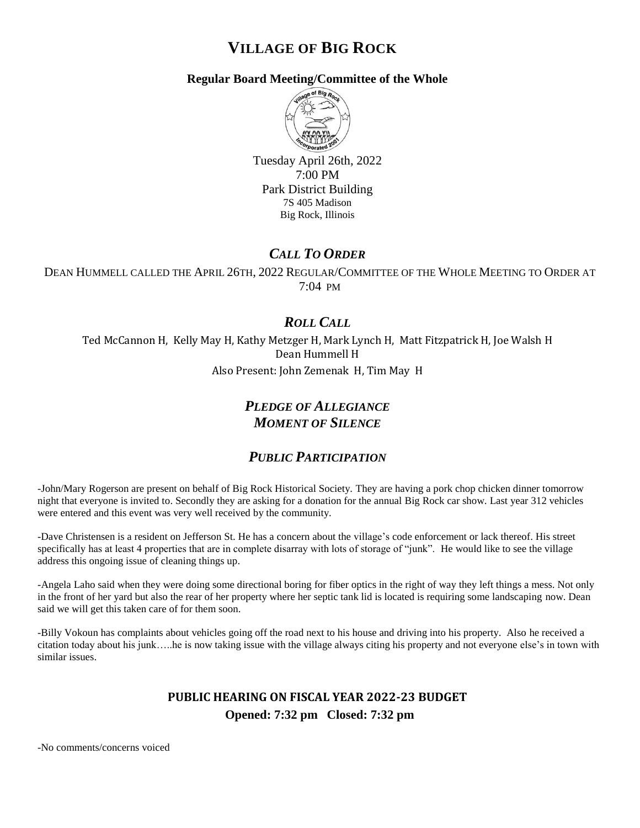# **VILLAGE OF BIG ROCK**

#### **Regular Board Meeting/Committee of the Whole**



Tuesday April 26th, 2022 7:00 PM Park District Building 7S 405 Madison Big Rock, Illinois

## *CALL TO ORDER*

DEAN HUMMELL CALLED THE APRIL 26TH, 2022 REGULAR/COMMITTEE OF THE WHOLE MEETING TO ORDER AT 7:04 PM

## *ROLL CALL*

Ted McCannon H, Kelly May H, Kathy Metzger H, Mark Lynch H, Matt Fitzpatrick H, Joe Walsh H Dean Hummell H Also Present: John Zemenak H, Tim May H

## *PLEDGE OF ALLEGIANCE MOMENT OF SILENCE*

### *PUBLIC PARTICIPATION*

-John/Mary Rogerson are present on behalf of Big Rock Historical Society. They are having a pork chop chicken dinner tomorrow night that everyone is invited to. Secondly they are asking for a donation for the annual Big Rock car show. Last year 312 vehicles were entered and this event was very well received by the community.

-Dave Christensen is a resident on Jefferson St. He has a concern about the village's code enforcement or lack thereof. His street specifically has at least 4 properties that are in complete disarray with lots of storage of "junk". He would like to see the village address this ongoing issue of cleaning things up.

-Angela Laho said when they were doing some directional boring for fiber optics in the right of way they left things a mess. Not only in the front of her yard but also the rear of her property where her septic tank lid is located is requiring some landscaping now. Dean said we will get this taken care of for them soon.

-Billy Vokoun has complaints about vehicles going off the road next to his house and driving into his property. Also he received a citation today about his junk…..he is now taking issue with the village always citing his property and not everyone else's in town with similar issues.

### **PUBLIC HEARING ON FISCAL YEAR 2022-23 BUDGET Opened: 7:32 pm Closed: 7:32 pm**

-No comments/concerns voiced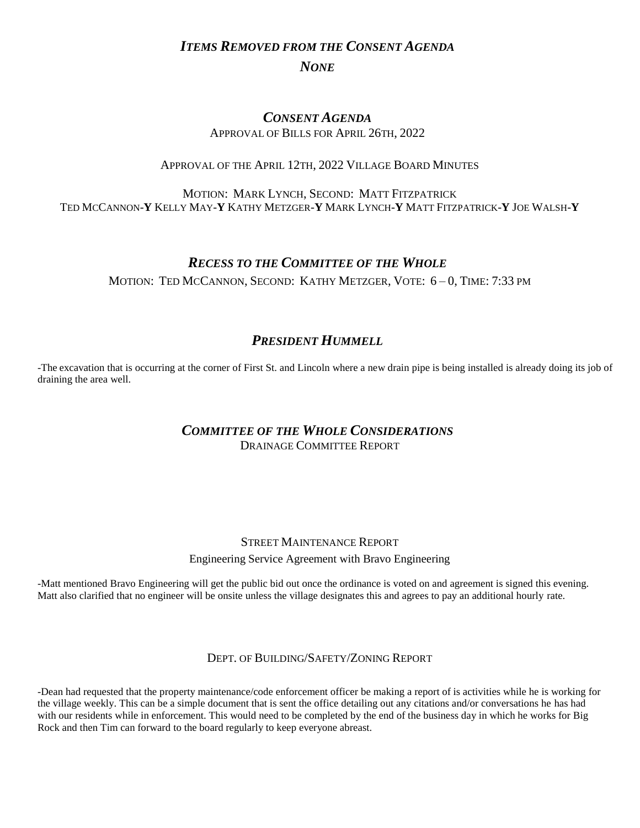## *ITEMS REMOVED FROM THE CONSENT AGENDA NONE*

#### *CONSENT AGENDA* APPROVAL OF BILLS FOR APRIL 26TH, 2022

#### APPROVAL OF THE APRIL 12TH, 2022 VILLAGE BOARD MINUTES

#### MOTION: MARK LYNCH, SECOND: MATT FITZPATRICK TED MCCANNON-**Y** KELLY MAY-**Y** KATHY METZGER-**Y** MARK LYNCH-**Y** MATT FITZPATRICK-**Y** JOE WALSH-**Y**

### *RECESS TO THE COMMITTEE OF THE WHOLE*

MOTION: TED MCCANNON, SECOND: KATHY METZGER, VOTE: 6 – 0, TIME: 7:33 PM

## *PRESIDENT HUMMELL*

-The excavation that is occurring at the corner of First St. and Lincoln where a new drain pipe is being installed is already doing its job of draining the area well.

### *COMMITTEE OF THE WHOLE CONSIDERATIONS* DRAINAGE COMMITTEE REPORT

#### STREET MAINTENANCE REPORT

Engineering Service Agreement with Bravo Engineering

-Matt mentioned Bravo Engineering will get the public bid out once the ordinance is voted on and agreement is signed this evening. Matt also clarified that no engineer will be onsite unless the village designates this and agrees to pay an additional hourly rate.

#### DEPT. OF BUILDING/SAFETY/ZONING REPORT

-Dean had requested that the property maintenance/code enforcement officer be making a report of is activities while he is working for the village weekly. This can be a simple document that is sent the office detailing out any citations and/or conversations he has had with our residents while in enforcement. This would need to be completed by the end of the business day in which he works for Big Rock and then Tim can forward to the board regularly to keep everyone abreast.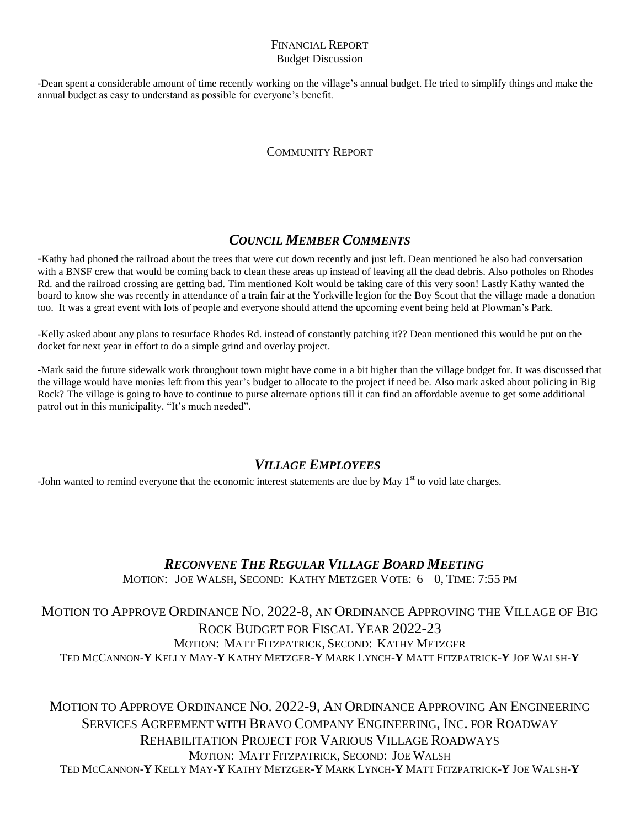#### FINANCIAL REPORT Budget Discussion

-Dean spent a considerable amount of time recently working on the village's annual budget. He tried to simplify things and make the annual budget as easy to understand as possible for everyone's benefit.

#### COMMUNITY REPORT

### *COUNCIL MEMBER COMMENTS*

-Kathy had phoned the railroad about the trees that were cut down recently and just left. Dean mentioned he also had conversation with a BNSF crew that would be coming back to clean these areas up instead of leaving all the dead debris. Also potholes on Rhodes Rd. and the railroad crossing are getting bad. Tim mentioned Kolt would be taking care of this very soon! Lastly Kathy wanted the board to know she was recently in attendance of a train fair at the Yorkville legion for the Boy Scout that the village made a donation too. It was a great event with lots of people and everyone should attend the upcoming event being held at Plowman's Park.

-Kelly asked about any plans to resurface Rhodes Rd. instead of constantly patching it?? Dean mentioned this would be put on the docket for next year in effort to do a simple grind and overlay project.

-Mark said the future sidewalk work throughout town might have come in a bit higher than the village budget for. It was discussed that the village would have monies left from this year's budget to allocate to the project if need be. Also mark asked about policing in Big Rock? The village is going to have to continue to purse alternate options till it can find an affordable avenue to get some additional patrol out in this municipality. "It's much needed".

### *VILLAGE EMPLOYEES*

-John wanted to remind everyone that the economic interest statements are due by May  $1<sup>st</sup>$  to void late charges.

# *RECONVENE THE REGULAR VILLAGE BOARD MEETING*

MOTION: JOE WALSH, SECOND: KATHY METZGER VOTE: 6 – 0, TIME: 7:55 PM

### MOTION TO APPROVE ORDINANCE NO. 2022-8, AN ORDINANCE APPROVING THE VILLAGE OF BIG ROCK BUDGET FOR FISCAL YEAR 2022-23 MOTION: MATT FITZPATRICK, SECOND: KATHY METZGER TED MCCANNON-**Y** KELLY MAY-**Y** KATHY METZGER-**Y** MARK LYNCH-**Y** MATT FITZPATRICK-**Y** JOE WALSH-**Y**

MOTION TO APPROVE ORDINANCE NO. 2022-9, AN ORDINANCE APPROVING AN ENGINEERING SERVICES AGREEMENT WITH BRAVO COMPANY ENGINEERING, INC. FOR ROADWAY REHABILITATION PROJECT FOR VARIOUS VILLAGE ROADWAYS MOTION: MATT FITZPATRICK, SECOND: JOE WALSH TED MCCANNON-**Y** KELLY MAY-**Y** KATHY METZGER-**Y** MARK LYNCH-**Y** MATT FITZPATRICK-**Y** JOE WALSH-**Y**